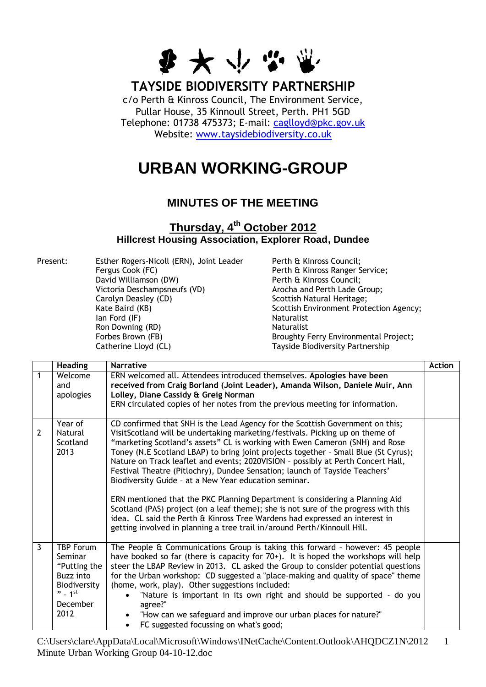

## **TAYSIDE BIODIVERSITY PARTNERSHIP**

c/o Perth & Kinross Council, The Environment Service, Pullar House, 35 Kinnoull Street, Perth. PH1 5GD Telephone: 01738 475373; E-mail: [caglloyd@pkc.gov.uk](mailto:caglloyd@pkc.gov.uk) Website: [www.taysidebiodiversity.co.uk](http://www.taysidebiodiversity.co.uk/) 

## **URBAN WORKING-GROUP**

## **MINUTES OF THE MEETING**

## **Thursday, 4 th October 2012 Hillcrest Housing Association, Explorer Road, Dundee**

Present: Esther Rogers-Nicoll (ERN), Joint Leader Perth & Kinross Council; Fergus Cook (FC) Perth & Kinross Ranger Service; David Williamson (DW) Perth & Kinross Council; Victoria Deschampsneufs (VD)  $\begin{array}{c} \text{Arocha and Perth Lade Group;} \\ \text{Carolyn Deasley (CD)} \end{array}$ Kate Baird (KB) **Scottish Environment Protection Agency**; Ian Ford (IF) Naturalist Ron Downing (RD) Naturalist Forbes Brown (FB) **Broughty Ferry Environmental Project**; Catherine Lloyd (CL) Tayside Biodiversity Partnership

Scottish Natural Heritage;

|                | <b>Heading</b>                                                                                                    | <b>Narrative</b>                                                                                                                                                                                                                                                                                                                                                                                                                                                                                                                                                                                                                                                                                                                                                                                                                                                                                    | <b>Action</b> |
|----------------|-------------------------------------------------------------------------------------------------------------------|-----------------------------------------------------------------------------------------------------------------------------------------------------------------------------------------------------------------------------------------------------------------------------------------------------------------------------------------------------------------------------------------------------------------------------------------------------------------------------------------------------------------------------------------------------------------------------------------------------------------------------------------------------------------------------------------------------------------------------------------------------------------------------------------------------------------------------------------------------------------------------------------------------|---------------|
| 1              | Welcome<br>and<br>apologies                                                                                       | ERN welcomed all. Attendees introduced themselves. Apologies have been<br>received from Craig Borland (Joint Leader), Amanda Wilson, Daniele Muir, Ann<br>Lolley, Diane Cassidy & Greig Norman<br>ERN circulated copies of her notes from the previous meeting for information.                                                                                                                                                                                                                                                                                                                                                                                                                                                                                                                                                                                                                     |               |
| $\overline{2}$ | Year of<br>Natural<br>Scotland<br>2013                                                                            | CD confirmed that SNH is the Lead Agency for the Scottish Government on this;<br>VisitScotland will be undertaking marketing/festivals. Picking up on theme of<br>"marketing Scotland's assets" CL is working with Ewen Cameron (SNH) and Rose<br>Toney (N.E Scotland LBAP) to bring joint projects together - Small Blue (St Cyrus);<br>Nature on Track leaflet and events; 2020VISION - possibly at Perth Concert Hall,<br>Festival Theatre (Pitlochry), Dundee Sensation; launch of Tayside Teachers'<br>Biodiversity Guide - at a New Year education seminar.<br>ERN mentioned that the PKC Planning Department is considering a Planning Aid<br>Scotland (PAS) project (on a leaf theme); she is not sure of the progress with this<br>idea. CL said the Perth & Kinross Tree Wardens had expressed an interest in<br>getting involved in planning a tree trail in/around Perth/Kinnoull Hill. |               |
| $\overline{3}$ | <b>TBP Forum</b><br>Seminar<br>"Putting the<br><b>Buzz into</b><br>Biodiversity<br>$" - 1$ st<br>December<br>2012 | The People & Communications Group is taking this forward - however: 45 people<br>have booked so far (there is capacity for 70+). It is hoped the workshops will help<br>steer the LBAP Review in 2013. CL asked the Group to consider potential questions<br>for the Urban workshop: CD suggested a "place-making and quality of space" theme<br>(home, work, play). Other suggestions included:<br>"Nature is important in its own right and should be supported - do you<br>$\bullet$<br>agree?"<br>"How can we safeguard and improve our urban places for nature?"<br>$\bullet$<br>FC suggested focussing on what's good;<br>$\bullet$                                                                                                                                                                                                                                                           |               |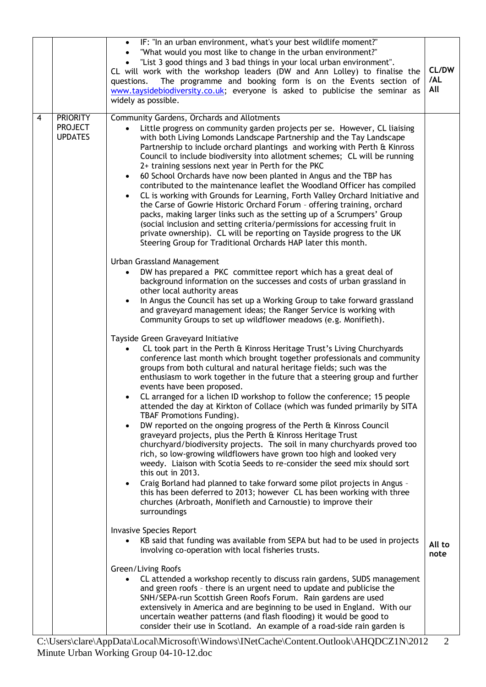|   |                                                     | IF: "In an urban environment, what's your best wildlife moment?"<br>$\bullet$<br>"What would you most like to change in the urban environment?"<br>"List 3 good things and 3 bad things in your local urban environment".<br>CL will work with the workshop leaders (DW and Ann Lolley) to finalise the<br>The programme and booking form is on the Events section of<br>questions.<br>www.taysidebiodiversity.co.uk; everyone is asked to publicise the seminar as<br>widely as possible.                                                                                                                                                                                                                                                                                                                                                                                                                                                                                                                                                                                                                                                                                                                                        | CL/DW<br>/AL<br>All |
|---|-----------------------------------------------------|-----------------------------------------------------------------------------------------------------------------------------------------------------------------------------------------------------------------------------------------------------------------------------------------------------------------------------------------------------------------------------------------------------------------------------------------------------------------------------------------------------------------------------------------------------------------------------------------------------------------------------------------------------------------------------------------------------------------------------------------------------------------------------------------------------------------------------------------------------------------------------------------------------------------------------------------------------------------------------------------------------------------------------------------------------------------------------------------------------------------------------------------------------------------------------------------------------------------------------------|---------------------|
| 4 | <b>PRIORITY</b><br><b>PROJECT</b><br><b>UPDATES</b> | Community Gardens, Orchards and Allotments<br>Little progress on community garden projects per se. However, CL liaising<br>$\bullet$<br>with both Living Lomonds Landscape Partnership and the Tay Landscape<br>Partnership to include orchard plantings and working with Perth & Kinross<br>Council to include biodiversity into allotment schemes; CL will be running<br>2+ training sessions next year in Perth for the PKC<br>60 School Orchards have now been planted in Angus and the TBP has<br>$\bullet$<br>contributed to the maintenance leaflet the Woodland Officer has compiled<br>CL is working with Grounds for Learning, Forth Valley Orchard Initiative and<br>$\bullet$<br>the Carse of Gowrie Historic Orchard Forum - offering training, orchard<br>packs, making larger links such as the setting up of a Scrumpers' Group<br>(social inclusion and setting criteria/permissions for accessing fruit in<br>private ownership). CL will be reporting on Tayside progress to the UK<br>Steering Group for Traditional Orchards HAP later this month.                                                                                                                                                           |                     |
|   |                                                     | Urban Grassland Management<br>DW has prepared a PKC committee report which has a great deal of<br>background information on the successes and costs of urban grassland in<br>other local authority areas<br>In Angus the Council has set up a Working Group to take forward grassland<br>$\bullet$<br>and graveyard management ideas; the Ranger Service is working with<br>Community Groups to set up wildflower meadows (e.g. Monifieth).                                                                                                                                                                                                                                                                                                                                                                                                                                                                                                                                                                                                                                                                                                                                                                                       |                     |
|   |                                                     | Tayside Green Graveyard Initiative<br>CL took part in the Perth & Kinross Heritage Trust's Living Churchyards<br>conference last month which brought together professionals and community<br>groups from both cultural and natural heritage fields; such was the<br>enthusiasm to work together in the future that a steering group and further<br>events have been proposed.<br>CL arranged for a lichen ID workshop to follow the conference; 15 people<br>attended the day at Kirkton of Collace (which was funded primarily by SITA<br>TBAF Promotions Funding).<br>DW reported on the ongoing progress of the Perth & Kinross Council<br>$\bullet$<br>graveyard projects, plus the Perth & Kinross Heritage Trust<br>churchyard/biodiversity projects. The soil in many churchyards proved too<br>rich, so low-growing wildflowers have grown too high and looked very<br>weedy. Liaison with Scotia Seeds to re-consider the seed mix should sort<br>this out in 2013.<br>Craig Borland had planned to take forward some pilot projects in Angus -<br>$\bullet$<br>this has been deferred to 2013; however CL has been working with three<br>churches (Arbroath, Monifieth and Carnoustie) to improve their<br>surroundings |                     |
|   |                                                     | <b>Invasive Species Report</b><br>KB said that funding was available from SEPA but had to be used in projects<br>involving co-operation with local fisheries trusts.                                                                                                                                                                                                                                                                                                                                                                                                                                                                                                                                                                                                                                                                                                                                                                                                                                                                                                                                                                                                                                                              | All to<br>note      |
|   |                                                     | Green/Living Roofs<br>CL attended a workshop recently to discuss rain gardens, SUDS management<br>$\bullet$<br>and green roofs - there is an urgent need to update and publicise the<br>SNH/SEPA-run Scottish Green Roofs Forum. Rain gardens are used<br>extensively in America and are beginning to be used in England. With our<br>uncertain weather patterns (and flash flooding) it would be good to<br>consider their use in Scotland. An example of a road-side rain garden is                                                                                                                                                                                                                                                                                                                                                                                                                                                                                                                                                                                                                                                                                                                                             |                     |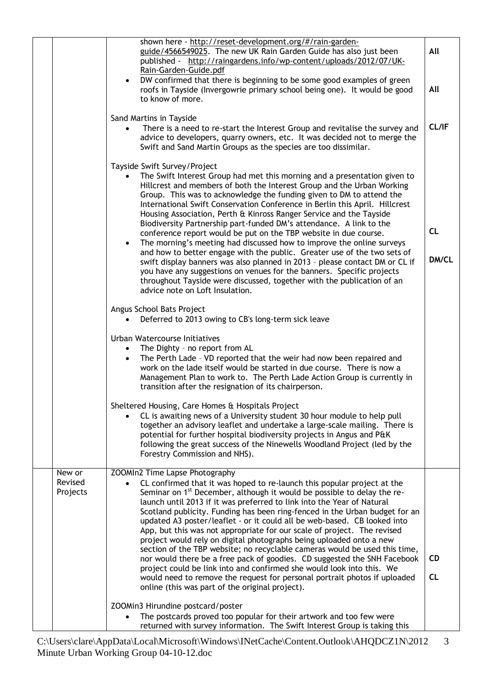| shown here - http://reset-development.org/#/rain-garden-<br>guide/4566549025. The new UK Rain Garden Guide has also just been<br>All<br>published - http://raingardens.info/wp-content/uploads/2012/07/UK-<br>Rain-Garden-Guide.pdf<br>DW confirmed that there is beginning to be some good examples of green<br>$\bullet$<br>All<br>roofs in Tayside (Invergowrie primary school being one). It would be good<br>to know of more.<br>Sand Martins in Tayside<br>There is a need to re-start the Interest Group and revitalise the survey and<br>advice to developers, quarry owners, etc. It was decided not to merge the<br>Swift and Sand Martin Groups as the species are too dissimilar.<br>Tayside Swift Survey/Project<br>The Swift Interest Group had met this morning and a presentation given to<br>Hillcrest and members of both the Interest Group and the Urban Working<br>Group. This was to acknowledge the funding given to DM to attend the<br>International Swift Conservation Conference in Berlin this April. Hillcrest<br>Housing Association, Perth & Kinross Ranger Service and the Tayside<br>Biodiversity Partnership part-funded DM's attendance. A link to the<br>CL<br>conference report would be put on the TBP website in due course.<br>The morning's meeting had discussed how to improve the online surveys<br>$\bullet$<br>and how to better engage with the public. Greater use of the two sets of<br>swift display banners was also planned in 2013 - please contact DM or CL if<br>you have any suggestions on venues for the banners. Specific projects<br>throughout Tayside were discussed, together with the publication of an<br>advice note on Loft Insulation.<br>Angus School Bats Project<br>Deferred to 2013 owing to CB's long-term sick leave<br>Urban Watercourse Initiatives<br>The Dighty - no report from AL<br>$\bullet$<br>The Perth Lade - VD reported that the weir had now been repaired and<br>$\bullet$<br>work on the lade itself would be started in due course. There is now a<br>Management Plan to work to. The Perth Lade Action Group is currently in<br>transition after the resignation of its chairperson.<br>Sheltered Housing, Care Homes & Hospitals Project<br>CL is awaiting news of a University student 30 hour module to help pull<br>together an advisory leaflet and undertake a large-scale mailing. There is<br>potential for further hospital biodiversity projects in Angus and P&K<br>following the great success of the Ninewells Woodland Project (led by the<br>Forestry Commission and NHS).<br>ZOOMIn2 Time Lapse Photography<br>New or<br>Revised<br>CL confirmed that it was hoped to re-launch this popular project at the<br>Seminar on 1 <sup>st</sup> December, although it would be possible to delay the re-<br>Projects |           |
|----------------------------------------------------------------------------------------------------------------------------------------------------------------------------------------------------------------------------------------------------------------------------------------------------------------------------------------------------------------------------------------------------------------------------------------------------------------------------------------------------------------------------------------------------------------------------------------------------------------------------------------------------------------------------------------------------------------------------------------------------------------------------------------------------------------------------------------------------------------------------------------------------------------------------------------------------------------------------------------------------------------------------------------------------------------------------------------------------------------------------------------------------------------------------------------------------------------------------------------------------------------------------------------------------------------------------------------------------------------------------------------------------------------------------------------------------------------------------------------------------------------------------------------------------------------------------------------------------------------------------------------------------------------------------------------------------------------------------------------------------------------------------------------------------------------------------------------------------------------------------------------------------------------------------------------------------------------------------------------------------------------------------------------------------------------------------------------------------------------------------------------------------------------------------------------------------------------------------------------------------------------------------------------------------------------------------------------------------------------------------------------------------------------------------------------------------------------------------------------------------------------------------------------------------------------------------------------------------------------------------------------------------------------------------------------------------------------------------------------------------------------------------------------------------------------------------|-----------|
|                                                                                                                                                                                                                                                                                                                                                                                                                                                                                                                                                                                                                                                                                                                                                                                                                                                                                                                                                                                                                                                                                                                                                                                                                                                                                                                                                                                                                                                                                                                                                                                                                                                                                                                                                                                                                                                                                                                                                                                                                                                                                                                                                                                                                                                                                                                                                                                                                                                                                                                                                                                                                                                                                                                                                                                                                            |           |
|                                                                                                                                                                                                                                                                                                                                                                                                                                                                                                                                                                                                                                                                                                                                                                                                                                                                                                                                                                                                                                                                                                                                                                                                                                                                                                                                                                                                                                                                                                                                                                                                                                                                                                                                                                                                                                                                                                                                                                                                                                                                                                                                                                                                                                                                                                                                                                                                                                                                                                                                                                                                                                                                                                                                                                                                                            |           |
|                                                                                                                                                                                                                                                                                                                                                                                                                                                                                                                                                                                                                                                                                                                                                                                                                                                                                                                                                                                                                                                                                                                                                                                                                                                                                                                                                                                                                                                                                                                                                                                                                                                                                                                                                                                                                                                                                                                                                                                                                                                                                                                                                                                                                                                                                                                                                                                                                                                                                                                                                                                                                                                                                                                                                                                                                            | CL/IF     |
|                                                                                                                                                                                                                                                                                                                                                                                                                                                                                                                                                                                                                                                                                                                                                                                                                                                                                                                                                                                                                                                                                                                                                                                                                                                                                                                                                                                                                                                                                                                                                                                                                                                                                                                                                                                                                                                                                                                                                                                                                                                                                                                                                                                                                                                                                                                                                                                                                                                                                                                                                                                                                                                                                                                                                                                                                            | DM/CL     |
|                                                                                                                                                                                                                                                                                                                                                                                                                                                                                                                                                                                                                                                                                                                                                                                                                                                                                                                                                                                                                                                                                                                                                                                                                                                                                                                                                                                                                                                                                                                                                                                                                                                                                                                                                                                                                                                                                                                                                                                                                                                                                                                                                                                                                                                                                                                                                                                                                                                                                                                                                                                                                                                                                                                                                                                                                            |           |
|                                                                                                                                                                                                                                                                                                                                                                                                                                                                                                                                                                                                                                                                                                                                                                                                                                                                                                                                                                                                                                                                                                                                                                                                                                                                                                                                                                                                                                                                                                                                                                                                                                                                                                                                                                                                                                                                                                                                                                                                                                                                                                                                                                                                                                                                                                                                                                                                                                                                                                                                                                                                                                                                                                                                                                                                                            |           |
|                                                                                                                                                                                                                                                                                                                                                                                                                                                                                                                                                                                                                                                                                                                                                                                                                                                                                                                                                                                                                                                                                                                                                                                                                                                                                                                                                                                                                                                                                                                                                                                                                                                                                                                                                                                                                                                                                                                                                                                                                                                                                                                                                                                                                                                                                                                                                                                                                                                                                                                                                                                                                                                                                                                                                                                                                            |           |
| launch until 2013 if it was preferred to link into the Year of Natural<br>Scotland publicity. Funding has been ring-fenced in the Urban budget for an<br>updated A3 poster/leaflet - or it could all be web-based. CB looked into<br>App, but this was not appropriate for our scale of project. The revised<br>project would rely on digital photographs being uploaded onto a new<br>section of the TBP website; no recyclable cameras would be used this time,<br>nor would there be a free pack of goodies. CD suggested the SNH Facebook<br>project could be link into and confirmed she would look into this. We<br>CL<br>would need to remove the request for personal portrait photos if uploaded                                                                                                                                                                                                                                                                                                                                                                                                                                                                                                                                                                                                                                                                                                                                                                                                                                                                                                                                                                                                                                                                                                                                                                                                                                                                                                                                                                                                                                                                                                                                                                                                                                                                                                                                                                                                                                                                                                                                                                                                                                                                                                                  | <b>CD</b> |
| online (this was part of the original project).<br>ZOOMin3 Hirundine postcard/poster<br>The postcards proved too popular for their artwork and too few were<br>$\bullet$<br>returned with survey information. The Swift Interest Group is taking this                                                                                                                                                                                                                                                                                                                                                                                                                                                                                                                                                                                                                                                                                                                                                                                                                                                                                                                                                                                                                                                                                                                                                                                                                                                                                                                                                                                                                                                                                                                                                                                                                                                                                                                                                                                                                                                                                                                                                                                                                                                                                                                                                                                                                                                                                                                                                                                                                                                                                                                                                                      |           |